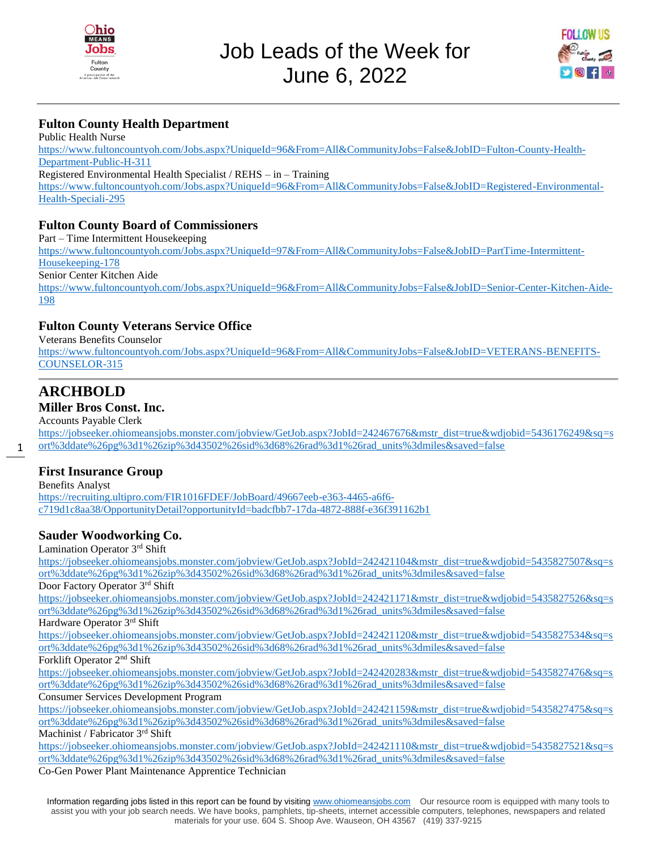



## **Fulton County Health Department**

Public Health Nurse [https://www.fultoncountyoh.com/Jobs.aspx?UniqueId=96&From=All&CommunityJobs=False&JobID=Fulton-County-Health-](https://www.fultoncountyoh.com/Jobs.aspx?UniqueId=96&From=All&CommunityJobs=False&JobID=Fulton-County-Health-Department-Public-H-311)[Department-Public-H-311](https://www.fultoncountyoh.com/Jobs.aspx?UniqueId=96&From=All&CommunityJobs=False&JobID=Fulton-County-Health-Department-Public-H-311) Registered Environmental Health Specialist / REHS – in – Training [https://www.fultoncountyoh.com/Jobs.aspx?UniqueId=96&From=All&CommunityJobs=False&JobID=Registered-Environmental-](https://www.fultoncountyoh.com/Jobs.aspx?UniqueId=96&From=All&CommunityJobs=False&JobID=Registered-Environmental-Health-Speciali-295)[Health-Speciali-295](https://www.fultoncountyoh.com/Jobs.aspx?UniqueId=96&From=All&CommunityJobs=False&JobID=Registered-Environmental-Health-Speciali-295)

#### **Fulton County Board of Commissioners**

Part – Time Intermittent Housekeeping [https://www.fultoncountyoh.com/Jobs.aspx?UniqueId=97&From=All&CommunityJobs=False&JobID=PartTime-Intermittent-](https://www.fultoncountyoh.com/Jobs.aspx?UniqueId=97&From=All&CommunityJobs=False&JobID=PartTime-Intermittent-Housekeeping-178)[Housekeeping-178](https://www.fultoncountyoh.com/Jobs.aspx?UniqueId=97&From=All&CommunityJobs=False&JobID=PartTime-Intermittent-Housekeeping-178) Senior Center Kitchen Aide [https://www.fultoncountyoh.com/Jobs.aspx?UniqueId=96&From=All&CommunityJobs=False&JobID=Senior-Center-Kitchen-Aide-](https://www.fultoncountyoh.com/Jobs.aspx?UniqueId=96&From=All&CommunityJobs=False&JobID=Senior-Center-Kitchen-Aide-198)[198](https://www.fultoncountyoh.com/Jobs.aspx?UniqueId=96&From=All&CommunityJobs=False&JobID=Senior-Center-Kitchen-Aide-198)

#### **Fulton County Veterans Service Office**

Veterans Benefits Counselor [https://www.fultoncountyoh.com/Jobs.aspx?UniqueId=96&From=All&CommunityJobs=False&JobID=VETERANS-BENEFITS-](https://www.fultoncountyoh.com/Jobs.aspx?UniqueId=96&From=All&CommunityJobs=False&JobID=VETERANS-BENEFITS-COUNSELOR-315)[COUNSELOR-315](https://www.fultoncountyoh.com/Jobs.aspx?UniqueId=96&From=All&CommunityJobs=False&JobID=VETERANS-BENEFITS-COUNSELOR-315)

# **ARCHBOLD**

1

## **Miller Bros Const. Inc.**

Accounts Payable Clerk

[https://jobseeker.ohiomeansjobs.monster.com/jobview/GetJob.aspx?JobId=242467676&mstr\\_dist=true&wdjobid=5436176249&sq=s](https://jobseeker.ohiomeansjobs.monster.com/jobview/GetJob.aspx?JobId=242467676&mstr_dist=true&wdjobid=5436176249&sq=sort%3ddate%26pg%3d1%26zip%3d43502%26sid%3d68%26rad%3d1%26rad_units%3dmiles&saved=false) [ort%3ddate%26pg%3d1%26zip%3d43502%26sid%3d68%26rad%3d1%26rad\\_units%3dmiles&saved=false](https://jobseeker.ohiomeansjobs.monster.com/jobview/GetJob.aspx?JobId=242467676&mstr_dist=true&wdjobid=5436176249&sq=sort%3ddate%26pg%3d1%26zip%3d43502%26sid%3d68%26rad%3d1%26rad_units%3dmiles&saved=false)

#### **First Insurance Group**

Benefits Analyst [https://recruiting.ultipro.com/FIR1016FDEF/JobBoard/49667eeb-e363-4465-a6f6](https://recruiting.ultipro.com/FIR1016FDEF/JobBoard/49667eeb-e363-4465-a6f6-c719d1c8aa38/OpportunityDetail?opportunityId=badcfbb7-17da-4872-888f-e36f391162b1) [c719d1c8aa38/OpportunityDetail?opportunityId=badcfbb7-17da-4872-888f-e36f391162b1](https://recruiting.ultipro.com/FIR1016FDEF/JobBoard/49667eeb-e363-4465-a6f6-c719d1c8aa38/OpportunityDetail?opportunityId=badcfbb7-17da-4872-888f-e36f391162b1)

#### **Sauder Woodworking Co.**

Lamination Operator 3rd Shift

[https://jobseeker.ohiomeansjobs.monster.com/jobview/GetJob.aspx?JobId=242421104&mstr\\_dist=true&wdjobid=5435827507&sq=s](https://jobseeker.ohiomeansjobs.monster.com/jobview/GetJob.aspx?JobId=242421104&mstr_dist=true&wdjobid=5435827507&sq=sort%3ddate%26pg%3d1%26zip%3d43502%26sid%3d68%26rad%3d1%26rad_units%3dmiles&saved=false) [ort%3ddate%26pg%3d1%26zip%3d43502%26sid%3d68%26rad%3d1%26rad\\_units%3dmiles&saved=false](https://jobseeker.ohiomeansjobs.monster.com/jobview/GetJob.aspx?JobId=242421104&mstr_dist=true&wdjobid=5435827507&sq=sort%3ddate%26pg%3d1%26zip%3d43502%26sid%3d68%26rad%3d1%26rad_units%3dmiles&saved=false)

Door Factory Operator 3rd Shift

[https://jobseeker.ohiomeansjobs.monster.com/jobview/GetJob.aspx?JobId=242421171&mstr\\_dist=true&wdjobid=5435827526&sq=s](https://jobseeker.ohiomeansjobs.monster.com/jobview/GetJob.aspx?JobId=242421171&mstr_dist=true&wdjobid=5435827526&sq=sort%3ddate%26pg%3d1%26zip%3d43502%26sid%3d68%26rad%3d1%26rad_units%3dmiles&saved=false) [ort%3ddate%26pg%3d1%26zip%3d43502%26sid%3d68%26rad%3d1%26rad\\_units%3dmiles&saved=false](https://jobseeker.ohiomeansjobs.monster.com/jobview/GetJob.aspx?JobId=242421171&mstr_dist=true&wdjobid=5435827526&sq=sort%3ddate%26pg%3d1%26zip%3d43502%26sid%3d68%26rad%3d1%26rad_units%3dmiles&saved=false)

Hardware Operator 3rd Shift

[https://jobseeker.ohiomeansjobs.monster.com/jobview/GetJob.aspx?JobId=242421120&mstr\\_dist=true&wdjobid=5435827534&sq=s](https://jobseeker.ohiomeansjobs.monster.com/jobview/GetJob.aspx?JobId=242421120&mstr_dist=true&wdjobid=5435827534&sq=sort%3ddate%26pg%3d1%26zip%3d43502%26sid%3d68%26rad%3d1%26rad_units%3dmiles&saved=false) [ort%3ddate%26pg%3d1%26zip%3d43502%26sid%3d68%26rad%3d1%26rad\\_units%3dmiles&saved=false](https://jobseeker.ohiomeansjobs.monster.com/jobview/GetJob.aspx?JobId=242421120&mstr_dist=true&wdjobid=5435827534&sq=sort%3ddate%26pg%3d1%26zip%3d43502%26sid%3d68%26rad%3d1%26rad_units%3dmiles&saved=false) Forklift Operator 2nd Shift

[https://jobseeker.ohiomeansjobs.monster.com/jobview/GetJob.aspx?JobId=242420283&mstr\\_dist=true&wdjobid=5435827476&sq=s](https://jobseeker.ohiomeansjobs.monster.com/jobview/GetJob.aspx?JobId=242420283&mstr_dist=true&wdjobid=5435827476&sq=sort%3ddate%26pg%3d1%26zip%3d43502%26sid%3d68%26rad%3d1%26rad_units%3dmiles&saved=false) [ort%3ddate%26pg%3d1%26zip%3d43502%26sid%3d68%26rad%3d1%26rad\\_units%3dmiles&saved=false](https://jobseeker.ohiomeansjobs.monster.com/jobview/GetJob.aspx?JobId=242420283&mstr_dist=true&wdjobid=5435827476&sq=sort%3ddate%26pg%3d1%26zip%3d43502%26sid%3d68%26rad%3d1%26rad_units%3dmiles&saved=false)

#### Consumer Services Development Program

[https://jobseeker.ohiomeansjobs.monster.com/jobview/GetJob.aspx?JobId=242421159&mstr\\_dist=true&wdjobid=5435827475&sq=s](https://jobseeker.ohiomeansjobs.monster.com/jobview/GetJob.aspx?JobId=242421159&mstr_dist=true&wdjobid=5435827475&sq=sort%3ddate%26pg%3d1%26zip%3d43502%26sid%3d68%26rad%3d1%26rad_units%3dmiles&saved=false) [ort%3ddate%26pg%3d1%26zip%3d43502%26sid%3d68%26rad%3d1%26rad\\_units%3dmiles&saved=false](https://jobseeker.ohiomeansjobs.monster.com/jobview/GetJob.aspx?JobId=242421159&mstr_dist=true&wdjobid=5435827475&sq=sort%3ddate%26pg%3d1%26zip%3d43502%26sid%3d68%26rad%3d1%26rad_units%3dmiles&saved=false)

Machinist / Fabricator 3rd Shift

[https://jobseeker.ohiomeansjobs.monster.com/jobview/GetJob.aspx?JobId=242421110&mstr\\_dist=true&wdjobid=5435827521&sq=s](https://jobseeker.ohiomeansjobs.monster.com/jobview/GetJob.aspx?JobId=242421110&mstr_dist=true&wdjobid=5435827521&sq=sort%3ddate%26pg%3d1%26zip%3d43502%26sid%3d68%26rad%3d1%26rad_units%3dmiles&saved=false) [ort%3ddate%26pg%3d1%26zip%3d43502%26sid%3d68%26rad%3d1%26rad\\_units%3dmiles&saved=false](https://jobseeker.ohiomeansjobs.monster.com/jobview/GetJob.aspx?JobId=242421110&mstr_dist=true&wdjobid=5435827521&sq=sort%3ddate%26pg%3d1%26zip%3d43502%26sid%3d68%26rad%3d1%26rad_units%3dmiles&saved=false)

Co-Gen Power Plant Maintenance Apprentice Technician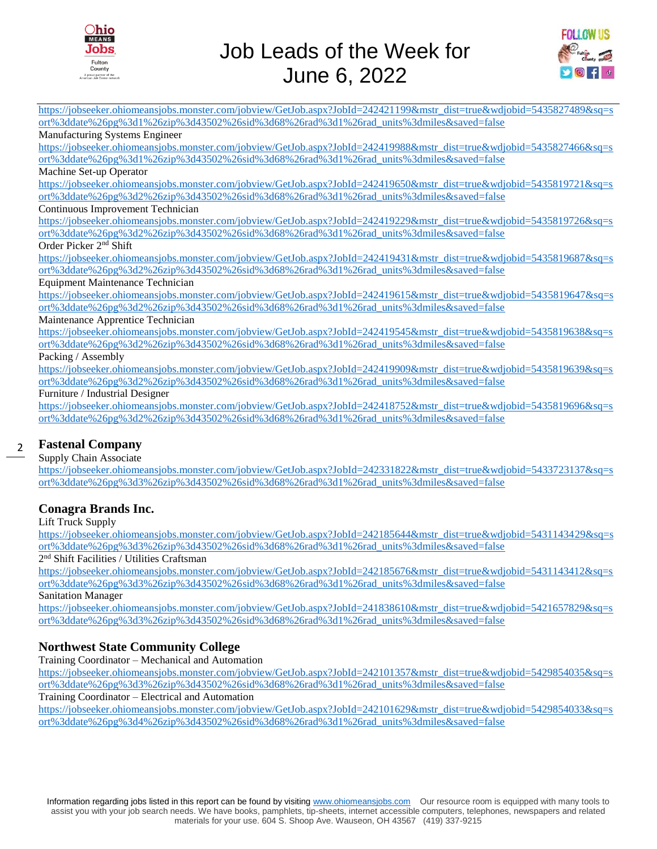



[https://jobseeker.ohiomeansjobs.monster.com/jobview/GetJob.aspx?JobId=242421199&mstr\\_dist=true&wdjobid=5435827489&sq=s](https://jobseeker.ohiomeansjobs.monster.com/jobview/GetJob.aspx?JobId=242421199&mstr_dist=true&wdjobid=5435827489&sq=sort%3ddate%26pg%3d1%26zip%3d43502%26sid%3d68%26rad%3d1%26rad_units%3dmiles&saved=false) [ort%3ddate%26pg%3d1%26zip%3d43502%26sid%3d68%26rad%3d1%26rad\\_units%3dmiles&saved=false](https://jobseeker.ohiomeansjobs.monster.com/jobview/GetJob.aspx?JobId=242421199&mstr_dist=true&wdjobid=5435827489&sq=sort%3ddate%26pg%3d1%26zip%3d43502%26sid%3d68%26rad%3d1%26rad_units%3dmiles&saved=false)

#### Manufacturing Systems Engineer

[https://jobseeker.ohiomeansjobs.monster.com/jobview/GetJob.aspx?JobId=242419988&mstr\\_dist=true&wdjobid=5435827466&sq=s](https://jobseeker.ohiomeansjobs.monster.com/jobview/GetJob.aspx?JobId=242419988&mstr_dist=true&wdjobid=5435827466&sq=sort%3ddate%26pg%3d1%26zip%3d43502%26sid%3d68%26rad%3d1%26rad_units%3dmiles&saved=false) [ort%3ddate%26pg%3d1%26zip%3d43502%26sid%3d68%26rad%3d1%26rad\\_units%3dmiles&saved=false](https://jobseeker.ohiomeansjobs.monster.com/jobview/GetJob.aspx?JobId=242419988&mstr_dist=true&wdjobid=5435827466&sq=sort%3ddate%26pg%3d1%26zip%3d43502%26sid%3d68%26rad%3d1%26rad_units%3dmiles&saved=false)

#### Machine Set-up Operator

[https://jobseeker.ohiomeansjobs.monster.com/jobview/GetJob.aspx?JobId=242419650&mstr\\_dist=true&wdjobid=5435819721&sq=s](https://jobseeker.ohiomeansjobs.monster.com/jobview/GetJob.aspx?JobId=242419650&mstr_dist=true&wdjobid=5435819721&sq=sort%3ddate%26pg%3d2%26zip%3d43502%26sid%3d68%26rad%3d1%26rad_units%3dmiles&saved=false) [ort%3ddate%26pg%3d2%26zip%3d43502%26sid%3d68%26rad%3d1%26rad\\_units%3dmiles&saved=false](https://jobseeker.ohiomeansjobs.monster.com/jobview/GetJob.aspx?JobId=242419650&mstr_dist=true&wdjobid=5435819721&sq=sort%3ddate%26pg%3d2%26zip%3d43502%26sid%3d68%26rad%3d1%26rad_units%3dmiles&saved=false)

#### Continuous Improvement Technician

[https://jobseeker.ohiomeansjobs.monster.com/jobview/GetJob.aspx?JobId=242419229&mstr\\_dist=true&wdjobid=5435819726&sq=s](https://jobseeker.ohiomeansjobs.monster.com/jobview/GetJob.aspx?JobId=242419229&mstr_dist=true&wdjobid=5435819726&sq=sort%3ddate%26pg%3d2%26zip%3d43502%26sid%3d68%26rad%3d1%26rad_units%3dmiles&saved=false) [ort%3ddate%26pg%3d2%26zip%3d43502%26sid%3d68%26rad%3d1%26rad\\_units%3dmiles&saved=false](https://jobseeker.ohiomeansjobs.monster.com/jobview/GetJob.aspx?JobId=242419229&mstr_dist=true&wdjobid=5435819726&sq=sort%3ddate%26pg%3d2%26zip%3d43502%26sid%3d68%26rad%3d1%26rad_units%3dmiles&saved=false)

#### Order Picker 2nd Shift

[https://jobseeker.ohiomeansjobs.monster.com/jobview/GetJob.aspx?JobId=242419431&mstr\\_dist=true&wdjobid=5435819687&sq=s](https://jobseeker.ohiomeansjobs.monster.com/jobview/GetJob.aspx?JobId=242419431&mstr_dist=true&wdjobid=5435819687&sq=sort%3ddate%26pg%3d2%26zip%3d43502%26sid%3d68%26rad%3d1%26rad_units%3dmiles&saved=false) [ort%3ddate%26pg%3d2%26zip%3d43502%26sid%3d68%26rad%3d1%26rad\\_units%3dmiles&saved=false](https://jobseeker.ohiomeansjobs.monster.com/jobview/GetJob.aspx?JobId=242419431&mstr_dist=true&wdjobid=5435819687&sq=sort%3ddate%26pg%3d2%26zip%3d43502%26sid%3d68%26rad%3d1%26rad_units%3dmiles&saved=false)

#### Equipment Maintenance Technician

[https://jobseeker.ohiomeansjobs.monster.com/jobview/GetJob.aspx?JobId=242419615&mstr\\_dist=true&wdjobid=5435819647&sq=s](https://jobseeker.ohiomeansjobs.monster.com/jobview/GetJob.aspx?JobId=242419615&mstr_dist=true&wdjobid=5435819647&sq=sort%3ddate%26pg%3d2%26zip%3d43502%26sid%3d68%26rad%3d1%26rad_units%3dmiles&saved=false) [ort%3ddate%26pg%3d2%26zip%3d43502%26sid%3d68%26rad%3d1%26rad\\_units%3dmiles&saved=false](https://jobseeker.ohiomeansjobs.monster.com/jobview/GetJob.aspx?JobId=242419615&mstr_dist=true&wdjobid=5435819647&sq=sort%3ddate%26pg%3d2%26zip%3d43502%26sid%3d68%26rad%3d1%26rad_units%3dmiles&saved=false)

#### Maintenance Apprentice Technician

[https://jobseeker.ohiomeansjobs.monster.com/jobview/GetJob.aspx?JobId=242419545&mstr\\_dist=true&wdjobid=5435819638&sq=s](https://jobseeker.ohiomeansjobs.monster.com/jobview/GetJob.aspx?JobId=242419545&mstr_dist=true&wdjobid=5435819638&sq=sort%3ddate%26pg%3d2%26zip%3d43502%26sid%3d68%26rad%3d1%26rad_units%3dmiles&saved=false) [ort%3ddate%26pg%3d2%26zip%3d43502%26sid%3d68%26rad%3d1%26rad\\_units%3dmiles&saved=false](https://jobseeker.ohiomeansjobs.monster.com/jobview/GetJob.aspx?JobId=242419545&mstr_dist=true&wdjobid=5435819638&sq=sort%3ddate%26pg%3d2%26zip%3d43502%26sid%3d68%26rad%3d1%26rad_units%3dmiles&saved=false)

Packing / Assembly

[https://jobseeker.ohiomeansjobs.monster.com/jobview/GetJob.aspx?JobId=242419909&mstr\\_dist=true&wdjobid=5435819639&sq=s](https://jobseeker.ohiomeansjobs.monster.com/jobview/GetJob.aspx?JobId=242419909&mstr_dist=true&wdjobid=5435819639&sq=sort%3ddate%26pg%3d2%26zip%3d43502%26sid%3d68%26rad%3d1%26rad_units%3dmiles&saved=false) [ort%3ddate%26pg%3d2%26zip%3d43502%26sid%3d68%26rad%3d1%26rad\\_units%3dmiles&saved=false](https://jobseeker.ohiomeansjobs.monster.com/jobview/GetJob.aspx?JobId=242419909&mstr_dist=true&wdjobid=5435819639&sq=sort%3ddate%26pg%3d2%26zip%3d43502%26sid%3d68%26rad%3d1%26rad_units%3dmiles&saved=false)

#### Furniture / Industrial Designer

[https://jobseeker.ohiomeansjobs.monster.com/jobview/GetJob.aspx?JobId=242418752&mstr\\_dist=true&wdjobid=5435819696&sq=s](https://jobseeker.ohiomeansjobs.monster.com/jobview/GetJob.aspx?JobId=242418752&mstr_dist=true&wdjobid=5435819696&sq=sort%3ddate%26pg%3d2%26zip%3d43502%26sid%3d68%26rad%3d1%26rad_units%3dmiles&saved=false) [ort%3ddate%26pg%3d2%26zip%3d43502%26sid%3d68%26rad%3d1%26rad\\_units%3dmiles&saved=false](https://jobseeker.ohiomeansjobs.monster.com/jobview/GetJob.aspx?JobId=242418752&mstr_dist=true&wdjobid=5435819696&sq=sort%3ddate%26pg%3d2%26zip%3d43502%26sid%3d68%26rad%3d1%26rad_units%3dmiles&saved=false)

#### 2 **Fastenal Company**

#### Supply Chain Associate

[https://jobseeker.ohiomeansjobs.monster.com/jobview/GetJob.aspx?JobId=242331822&mstr\\_dist=true&wdjobid=5433723137&sq=s](https://jobseeker.ohiomeansjobs.monster.com/jobview/GetJob.aspx?JobId=242331822&mstr_dist=true&wdjobid=5433723137&sq=sort%3ddate%26pg%3d3%26zip%3d43502%26sid%3d68%26rad%3d1%26rad_units%3dmiles&saved=false) [ort%3ddate%26pg%3d3%26zip%3d43502%26sid%3d68%26rad%3d1%26rad\\_units%3dmiles&saved=false](https://jobseeker.ohiomeansjobs.monster.com/jobview/GetJob.aspx?JobId=242331822&mstr_dist=true&wdjobid=5433723137&sq=sort%3ddate%26pg%3d3%26zip%3d43502%26sid%3d68%26rad%3d1%26rad_units%3dmiles&saved=false)

#### **Conagra Brands Inc.**

Lift Truck Supply

[https://jobseeker.ohiomeansjobs.monster.com/jobview/GetJob.aspx?JobId=242185644&mstr\\_dist=true&wdjobid=5431143429&sq=s](https://jobseeker.ohiomeansjobs.monster.com/jobview/GetJob.aspx?JobId=242185644&mstr_dist=true&wdjobid=5431143429&sq=sort%3ddate%26pg%3d3%26zip%3d43502%26sid%3d68%26rad%3d1%26rad_units%3dmiles&saved=false) [ort%3ddate%26pg%3d3%26zip%3d43502%26sid%3d68%26rad%3d1%26rad\\_units%3dmiles&saved=false](https://jobseeker.ohiomeansjobs.monster.com/jobview/GetJob.aspx?JobId=242185644&mstr_dist=true&wdjobid=5431143429&sq=sort%3ddate%26pg%3d3%26zip%3d43502%26sid%3d68%26rad%3d1%26rad_units%3dmiles&saved=false)

2 nd Shift Facilities / Utilities Craftsman

[https://jobseeker.ohiomeansjobs.monster.com/jobview/GetJob.aspx?JobId=242185676&mstr\\_dist=true&wdjobid=5431143412&sq=s](https://jobseeker.ohiomeansjobs.monster.com/jobview/GetJob.aspx?JobId=242185676&mstr_dist=true&wdjobid=5431143412&sq=sort%3ddate%26pg%3d3%26zip%3d43502%26sid%3d68%26rad%3d1%26rad_units%3dmiles&saved=false) [ort%3ddate%26pg%3d3%26zip%3d43502%26sid%3d68%26rad%3d1%26rad\\_units%3dmiles&saved=false](https://jobseeker.ohiomeansjobs.monster.com/jobview/GetJob.aspx?JobId=242185676&mstr_dist=true&wdjobid=5431143412&sq=sort%3ddate%26pg%3d3%26zip%3d43502%26sid%3d68%26rad%3d1%26rad_units%3dmiles&saved=false)

Sanitation Manager

[https://jobseeker.ohiomeansjobs.monster.com/jobview/GetJob.aspx?JobId=241838610&mstr\\_dist=true&wdjobid=5421657829&sq=s](https://jobseeker.ohiomeansjobs.monster.com/jobview/GetJob.aspx?JobId=241838610&mstr_dist=true&wdjobid=5421657829&sq=sort%3ddate%26pg%3d3%26zip%3d43502%26sid%3d68%26rad%3d1%26rad_units%3dmiles&saved=false) [ort%3ddate%26pg%3d3%26zip%3d43502%26sid%3d68%26rad%3d1%26rad\\_units%3dmiles&saved=false](https://jobseeker.ohiomeansjobs.monster.com/jobview/GetJob.aspx?JobId=241838610&mstr_dist=true&wdjobid=5421657829&sq=sort%3ddate%26pg%3d3%26zip%3d43502%26sid%3d68%26rad%3d1%26rad_units%3dmiles&saved=false)

#### **Northwest State Community College**

Training Coordinator – Mechanical and Automation

[https://jobseeker.ohiomeansjobs.monster.com/jobview/GetJob.aspx?JobId=242101357&mstr\\_dist=true&wdjobid=5429854035&sq=s](https://jobseeker.ohiomeansjobs.monster.com/jobview/GetJob.aspx?JobId=242101357&mstr_dist=true&wdjobid=5429854035&sq=sort%3ddate%26pg%3d3%26zip%3d43502%26sid%3d68%26rad%3d1%26rad_units%3dmiles&saved=false) [ort%3ddate%26pg%3d3%26zip%3d43502%26sid%3d68%26rad%3d1%26rad\\_units%3dmiles&saved=false](https://jobseeker.ohiomeansjobs.monster.com/jobview/GetJob.aspx?JobId=242101357&mstr_dist=true&wdjobid=5429854035&sq=sort%3ddate%26pg%3d3%26zip%3d43502%26sid%3d68%26rad%3d1%26rad_units%3dmiles&saved=false)

Training Coordinator – Electrical and Automation

[https://jobseeker.ohiomeansjobs.monster.com/jobview/GetJob.aspx?JobId=242101629&mstr\\_dist=true&wdjobid=5429854033&sq=s](https://jobseeker.ohiomeansjobs.monster.com/jobview/GetJob.aspx?JobId=242101629&mstr_dist=true&wdjobid=5429854033&sq=sort%3ddate%26pg%3d4%26zip%3d43502%26sid%3d68%26rad%3d1%26rad_units%3dmiles&saved=false) [ort%3ddate%26pg%3d4%26zip%3d43502%26sid%3d68%26rad%3d1%26rad\\_units%3dmiles&saved=false](https://jobseeker.ohiomeansjobs.monster.com/jobview/GetJob.aspx?JobId=242101629&mstr_dist=true&wdjobid=5429854033&sq=sort%3ddate%26pg%3d4%26zip%3d43502%26sid%3d68%26rad%3d1%26rad_units%3dmiles&saved=false)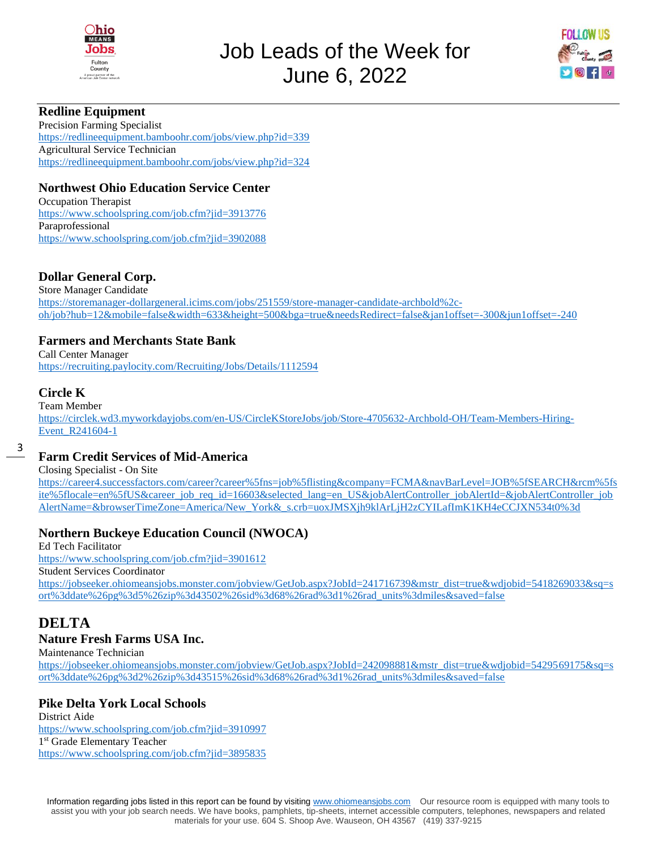



#### **Redline Equipment**

Precision Farming Specialist <https://redlineequipment.bamboohr.com/jobs/view.php?id=339> Agricultural Service Technician <https://redlineequipment.bamboohr.com/jobs/view.php?id=324>

#### **Northwest Ohio Education Service Center**

Occupation Therapist <https://www.schoolspring.com/job.cfm?jid=3913776> Paraprofessional <https://www.schoolspring.com/job.cfm?jid=3902088>

#### **Dollar General Corp.**

Store Manager Candidate [https://storemanager-dollargeneral.icims.com/jobs/251559/store-manager-candidate-archbold%2c](https://storemanager-dollargeneral.icims.com/jobs/251559/store-manager-candidate-archbold%2c-oh/job?hub=12&mobile=false&width=633&height=500&bga=true&needsRedirect=false&jan1offset=-300&jun1offset=-240)[oh/job?hub=12&mobile=false&width=633&height=500&bga=true&needsRedirect=false&jan1offset=-300&jun1offset=-240](https://storemanager-dollargeneral.icims.com/jobs/251559/store-manager-candidate-archbold%2c-oh/job?hub=12&mobile=false&width=633&height=500&bga=true&needsRedirect=false&jan1offset=-300&jun1offset=-240)

#### **Farmers and Merchants State Bank**

Call Center Manager <https://recruiting.paylocity.com/Recruiting/Jobs/Details/1112594>

#### **Circle K**

Team Member [https://circlek.wd3.myworkdayjobs.com/en-US/CircleKStoreJobs/job/Store-4705632-Archbold-OH/Team-Members-Hiring-](https://circlek.wd3.myworkdayjobs.com/en-US/CircleKStoreJobs/job/Store-4705632-Archbold-OH/Team-Members-Hiring-Event_R241604-1)[Event\\_R241604-1](https://circlek.wd3.myworkdayjobs.com/en-US/CircleKStoreJobs/job/Store-4705632-Archbold-OH/Team-Members-Hiring-Event_R241604-1)

3

#### **Farm Credit Services of Mid-America**

Closing Specialist - On Site

[https://career4.successfactors.com/career?career%5fns=job%5flisting&company=FCMA&navBarLevel=JOB%5fSEARCH&rcm%5fs](https://career4.successfactors.com/career?career%5fns=job%5flisting&company=FCMA&navBarLevel=JOB%5fSEARCH&rcm%5fsite%5flocale=en%5fUS&career_job_req_id=16603&selected_lang=en_US&jobAlertController_jobAlertId=&jobAlertController_jobAlertName=&browserTimeZone=America/New_York&_s.crb=uoxJMSXjh9klArLjH2zCYILafImK1KH4eCCJXN534t0%3d) [ite%5flocale=en%5fUS&career\\_job\\_req\\_id=16603&selected\\_lang=en\\_US&jobAlertController\\_jobAlertId=&jobAlertController\\_job](https://career4.successfactors.com/career?career%5fns=job%5flisting&company=FCMA&navBarLevel=JOB%5fSEARCH&rcm%5fsite%5flocale=en%5fUS&career_job_req_id=16603&selected_lang=en_US&jobAlertController_jobAlertId=&jobAlertController_jobAlertName=&browserTimeZone=America/New_York&_s.crb=uoxJMSXjh9klArLjH2zCYILafImK1KH4eCCJXN534t0%3d) [AlertName=&browserTimeZone=America/New\\_York&\\_s.crb=uoxJMSXjh9klArLjH2zCYILafImK1KH4eCCJXN534t0%3d](https://career4.successfactors.com/career?career%5fns=job%5flisting&company=FCMA&navBarLevel=JOB%5fSEARCH&rcm%5fsite%5flocale=en%5fUS&career_job_req_id=16603&selected_lang=en_US&jobAlertController_jobAlertId=&jobAlertController_jobAlertName=&browserTimeZone=America/New_York&_s.crb=uoxJMSXjh9klArLjH2zCYILafImK1KH4eCCJXN534t0%3d)

## **Northern Buckeye Education Council (NWOCA)**

Ed Tech Facilitator <https://www.schoolspring.com/job.cfm?jid=3901612> Student Services Coordinator [https://jobseeker.ohiomeansjobs.monster.com/jobview/GetJob.aspx?JobId=241716739&mstr\\_dist=true&wdjobid=5418269033&sq=s](https://jobseeker.ohiomeansjobs.monster.com/jobview/GetJob.aspx?JobId=241716739&mstr_dist=true&wdjobid=5418269033&sq=sort%3ddate%26pg%3d5%26zip%3d43502%26sid%3d68%26rad%3d1%26rad_units%3dmiles&saved=false) [ort%3ddate%26pg%3d5%26zip%3d43502%26sid%3d68%26rad%3d1%26rad\\_units%3dmiles&saved=false](https://jobseeker.ohiomeansjobs.monster.com/jobview/GetJob.aspx?JobId=241716739&mstr_dist=true&wdjobid=5418269033&sq=sort%3ddate%26pg%3d5%26zip%3d43502%26sid%3d68%26rad%3d1%26rad_units%3dmiles&saved=false)

# **DELTA**

#### **Nature Fresh Farms USA Inc.**

Maintenance Technician

[https://jobseeker.ohiomeansjobs.monster.com/jobview/GetJob.aspx?JobId=242098881&mstr\\_dist=true&wdjobid=5429569175&sq=s](https://jobseeker.ohiomeansjobs.monster.com/jobview/GetJob.aspx?JobId=242098881&mstr_dist=true&wdjobid=5429569175&sq=sort%3ddate%26pg%3d2%26zip%3d43515%26sid%3d68%26rad%3d1%26rad_units%3dmiles&saved=false) [ort%3ddate%26pg%3d2%26zip%3d43515%26sid%3d68%26rad%3d1%26rad\\_units%3dmiles&saved=false](https://jobseeker.ohiomeansjobs.monster.com/jobview/GetJob.aspx?JobId=242098881&mstr_dist=true&wdjobid=5429569175&sq=sort%3ddate%26pg%3d2%26zip%3d43515%26sid%3d68%26rad%3d1%26rad_units%3dmiles&saved=false)

## **Pike Delta York Local Schools**

District Aide <https://www.schoolspring.com/job.cfm?jid=3910997> 1 st Grade Elementary Teacher <https://www.schoolspring.com/job.cfm?jid=3895835>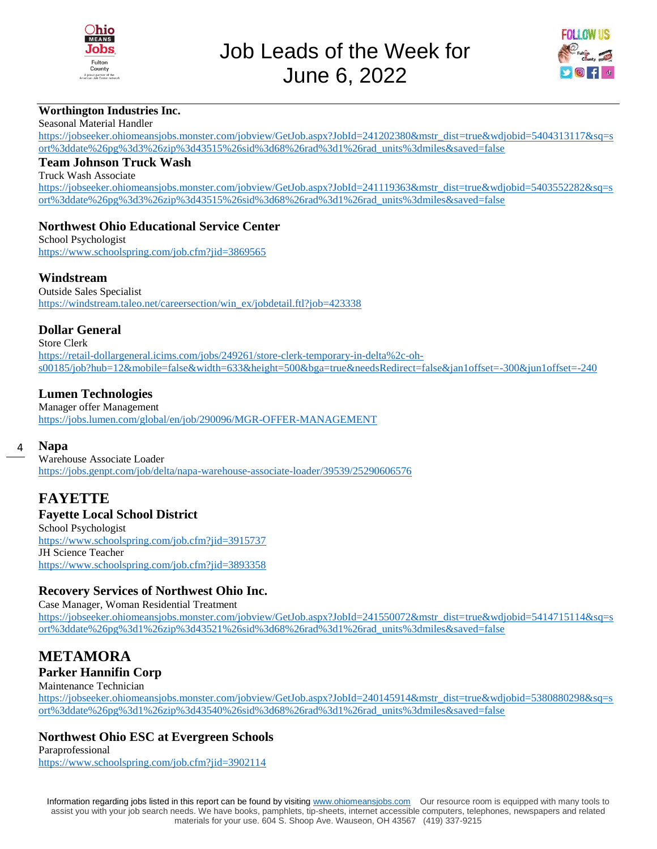



#### **Worthington Industries Inc.**

Seasonal Material Handler

[https://jobseeker.ohiomeansjobs.monster.com/jobview/GetJob.aspx?JobId=241202380&mstr\\_dist=true&wdjobid=5404313117&sq=s](https://jobseeker.ohiomeansjobs.monster.com/jobview/GetJob.aspx?JobId=241202380&mstr_dist=true&wdjobid=5404313117&sq=sort%3ddate%26pg%3d3%26zip%3d43515%26sid%3d68%26rad%3d1%26rad_units%3dmiles&saved=false) [ort%3ddate%26pg%3d3%26zip%3d43515%26sid%3d68%26rad%3d1%26rad\\_units%3dmiles&saved=false](https://jobseeker.ohiomeansjobs.monster.com/jobview/GetJob.aspx?JobId=241202380&mstr_dist=true&wdjobid=5404313117&sq=sort%3ddate%26pg%3d3%26zip%3d43515%26sid%3d68%26rad%3d1%26rad_units%3dmiles&saved=false)

#### **Team Johnson Truck Wash**

Truck Wash Associate

[https://jobseeker.ohiomeansjobs.monster.com/jobview/GetJob.aspx?JobId=241119363&mstr\\_dist=true&wdjobid=5403552282&sq=s](https://jobseeker.ohiomeansjobs.monster.com/jobview/GetJob.aspx?JobId=241119363&mstr_dist=true&wdjobid=5403552282&sq=sort%3ddate%26pg%3d3%26zip%3d43515%26sid%3d68%26rad%3d1%26rad_units%3dmiles&saved=false) [ort%3ddate%26pg%3d3%26zip%3d43515%26sid%3d68%26rad%3d1%26rad\\_units%3dmiles&saved=false](https://jobseeker.ohiomeansjobs.monster.com/jobview/GetJob.aspx?JobId=241119363&mstr_dist=true&wdjobid=5403552282&sq=sort%3ddate%26pg%3d3%26zip%3d43515%26sid%3d68%26rad%3d1%26rad_units%3dmiles&saved=false)

#### **Northwest Ohio Educational Service Center**

School Psychologist <https://www.schoolspring.com/job.cfm?jid=3869565>

#### **Windstream**

Outside Sales Specialist [https://windstream.taleo.net/careersection/win\\_ex/jobdetail.ftl?job=423338](https://windstream.taleo.net/careersection/win_ex/jobdetail.ftl?job=423338)

#### **Dollar General**

Store Clerk [https://retail-dollargeneral.icims.com/jobs/249261/store-clerk-temporary-in-delta%2c-oh](https://retail-dollargeneral.icims.com/jobs/249261/store-clerk-temporary-in-delta%2c-oh-s00185/job?hub=12&mobile=false&width=633&height=500&bga=true&needsRedirect=false&jan1offset=-300&jun1offset=-240)[s00185/job?hub=12&mobile=false&width=633&height=500&bga=true&needsRedirect=false&jan1offset=-300&jun1offset=-240](https://retail-dollargeneral.icims.com/jobs/249261/store-clerk-temporary-in-delta%2c-oh-s00185/job?hub=12&mobile=false&width=633&height=500&bga=true&needsRedirect=false&jan1offset=-300&jun1offset=-240)

#### **Lumen Technologies**

Manager offer Management <https://jobs.lumen.com/global/en/job/290096/MGR-OFFER-MANAGEMENT>

#### 4 **Napa**

Warehouse Associate Loader <https://jobs.genpt.com/job/delta/napa-warehouse-associate-loader/39539/25290606576>

## **FAYETTE**

#### **Fayette Local School District**

School Psychologist <https://www.schoolspring.com/job.cfm?jid=3915737> JH Science Teacher <https://www.schoolspring.com/job.cfm?jid=3893358>

#### **Recovery Services of Northwest Ohio Inc.**

Case Manager, Woman Residential Treatment [https://jobseeker.ohiomeansjobs.monster.com/jobview/GetJob.aspx?JobId=241550072&mstr\\_dist=true&wdjobid=5414715114&sq=s](https://jobseeker.ohiomeansjobs.monster.com/jobview/GetJob.aspx?JobId=241550072&mstr_dist=true&wdjobid=5414715114&sq=sort%3ddate%26pg%3d1%26zip%3d43521%26sid%3d68%26rad%3d1%26rad_units%3dmiles&saved=false) [ort%3ddate%26pg%3d1%26zip%3d43521%26sid%3d68%26rad%3d1%26rad\\_units%3dmiles&saved=false](https://jobseeker.ohiomeansjobs.monster.com/jobview/GetJob.aspx?JobId=241550072&mstr_dist=true&wdjobid=5414715114&sq=sort%3ddate%26pg%3d1%26zip%3d43521%26sid%3d68%26rad%3d1%26rad_units%3dmiles&saved=false)

# **METAMORA**

#### **Parker Hannifin Corp**

#### Maintenance Technician

[https://jobseeker.ohiomeansjobs.monster.com/jobview/GetJob.aspx?JobId=240145914&mstr\\_dist=true&wdjobid=5380880298&sq=s](https://jobseeker.ohiomeansjobs.monster.com/jobview/GetJob.aspx?JobId=240145914&mstr_dist=true&wdjobid=5380880298&sq=sort%3ddate%26pg%3d1%26zip%3d43540%26sid%3d68%26rad%3d1%26rad_units%3dmiles&saved=false) [ort%3ddate%26pg%3d1%26zip%3d43540%26sid%3d68%26rad%3d1%26rad\\_units%3dmiles&saved=false](https://jobseeker.ohiomeansjobs.monster.com/jobview/GetJob.aspx?JobId=240145914&mstr_dist=true&wdjobid=5380880298&sq=sort%3ddate%26pg%3d1%26zip%3d43540%26sid%3d68%26rad%3d1%26rad_units%3dmiles&saved=false)

#### **Northwest Ohio ESC at Evergreen Schools**

Paraprofessional <https://www.schoolspring.com/job.cfm?jid=3902114>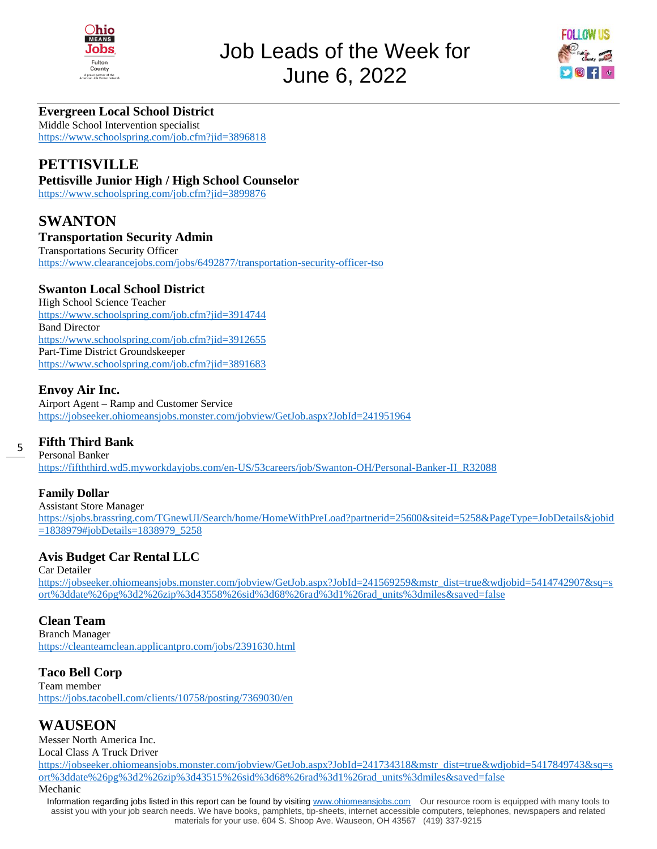



## **Evergreen Local School District**

Middle School Intervention specialist <https://www.schoolspring.com/job.cfm?jid=3896818>

# **PETTISVILLE**

#### **Pettisville Junior High / High School Counselor**

<https://www.schoolspring.com/job.cfm?jid=3899876>

# **SWANTON**

#### **Transportation Security Admin**

Transportations Security Officer <https://www.clearancejobs.com/jobs/6492877/transportation-security-officer-tso>

#### **Swanton Local School District**

High School Science Teacher <https://www.schoolspring.com/job.cfm?jid=3914744> Band Director <https://www.schoolspring.com/job.cfm?jid=3912655> Part-Time District Groundskeeper <https://www.schoolspring.com/job.cfm?jid=3891683>

#### **Envoy Air Inc.**

Airport Agent – Ramp and Customer Service <https://jobseeker.ohiomeansjobs.monster.com/jobview/GetJob.aspx?JobId=241951964>

#### **Fifth Third Bank**

Personal Banker [https://fifththird.wd5.myworkdayjobs.com/en-US/53careers/job/Swanton-OH/Personal-Banker-II\\_R32088](https://fifththird.wd5.myworkdayjobs.com/en-US/53careers/job/Swanton-OH/Personal-Banker-II_R32088)

#### **Family Dollar**

5

Assistant Store Manager [https://sjobs.brassring.com/TGnewUI/Search/home/HomeWithPreLoad?partnerid=25600&siteid=5258&PageType=JobDetails&jobid](https://sjobs.brassring.com/TGnewUI/Search/home/HomeWithPreLoad?partnerid=25600&siteid=5258&PageType=JobDetails&jobid=1838979#jobDetails=1838979_5258) [=1838979#jobDetails=1838979\\_5258](https://sjobs.brassring.com/TGnewUI/Search/home/HomeWithPreLoad?partnerid=25600&siteid=5258&PageType=JobDetails&jobid=1838979#jobDetails=1838979_5258)

#### **Avis Budget Car Rental LLC**

Car Detailer [https://jobseeker.ohiomeansjobs.monster.com/jobview/GetJob.aspx?JobId=241569259&mstr\\_dist=true&wdjobid=5414742907&sq=s](https://jobseeker.ohiomeansjobs.monster.com/jobview/GetJob.aspx?JobId=241569259&mstr_dist=true&wdjobid=5414742907&sq=sort%3ddate%26pg%3d2%26zip%3d43558%26sid%3d68%26rad%3d1%26rad_units%3dmiles&saved=false) [ort%3ddate%26pg%3d2%26zip%3d43558%26sid%3d68%26rad%3d1%26rad\\_units%3dmiles&saved=false](https://jobseeker.ohiomeansjobs.monster.com/jobview/GetJob.aspx?JobId=241569259&mstr_dist=true&wdjobid=5414742907&sq=sort%3ddate%26pg%3d2%26zip%3d43558%26sid%3d68%26rad%3d1%26rad_units%3dmiles&saved=false)

#### **Clean Team**

Branch Manager <https://cleanteamclean.applicantpro.com/jobs/2391630.html>

#### **Taco Bell Corp**

Team member <https://jobs.tacobell.com/clients/10758/posting/7369030/en>

## **WAUSEON**

Messer North America Inc. Local Class A Truck Driver

[https://jobseeker.ohiomeansjobs.monster.com/jobview/GetJob.aspx?JobId=241734318&mstr\\_dist=true&wdjobid=5417849743&sq=s](https://jobseeker.ohiomeansjobs.monster.com/jobview/GetJob.aspx?JobId=241734318&mstr_dist=true&wdjobid=5417849743&sq=sort%3ddate%26pg%3d2%26zip%3d43515%26sid%3d68%26rad%3d1%26rad_units%3dmiles&saved=false) [ort%3ddate%26pg%3d2%26zip%3d43515%26sid%3d68%26rad%3d1%26rad\\_units%3dmiles&saved=false](https://jobseeker.ohiomeansjobs.monster.com/jobview/GetJob.aspx?JobId=241734318&mstr_dist=true&wdjobid=5417849743&sq=sort%3ddate%26pg%3d2%26zip%3d43515%26sid%3d68%26rad%3d1%26rad_units%3dmiles&saved=false)

#### Mechanic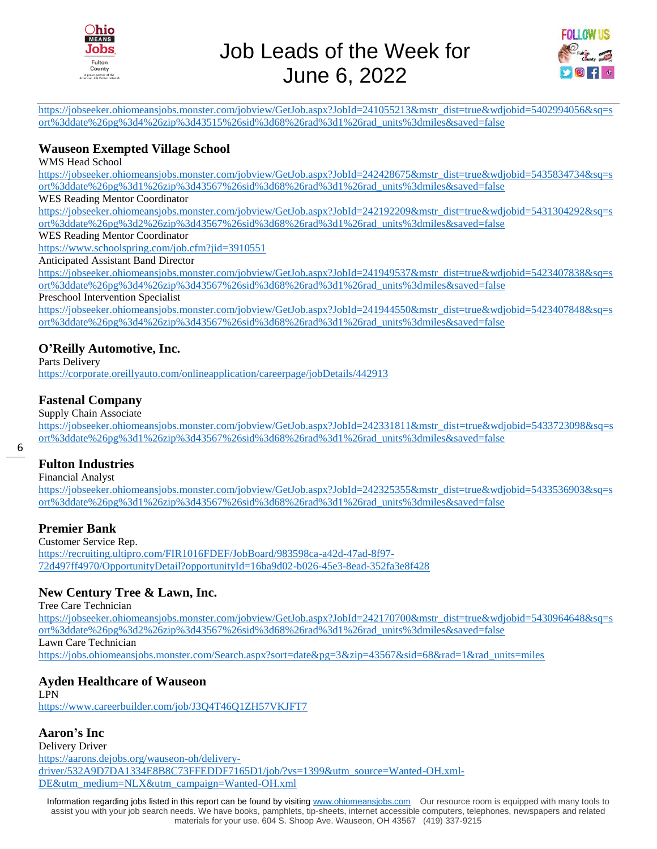



[https://jobseeker.ohiomeansjobs.monster.com/jobview/GetJob.aspx?JobId=241055213&mstr\\_dist=true&wdjobid=5402994056&sq=s](https://jobseeker.ohiomeansjobs.monster.com/jobview/GetJob.aspx?JobId=241055213&mstr_dist=true&wdjobid=5402994056&sq=sort%3ddate%26pg%3d4%26zip%3d43515%26sid%3d68%26rad%3d1%26rad_units%3dmiles&saved=false) [ort%3ddate%26pg%3d4%26zip%3d43515%26sid%3d68%26rad%3d1%26rad\\_units%3dmiles&saved=false](https://jobseeker.ohiomeansjobs.monster.com/jobview/GetJob.aspx?JobId=241055213&mstr_dist=true&wdjobid=5402994056&sq=sort%3ddate%26pg%3d4%26zip%3d43515%26sid%3d68%26rad%3d1%26rad_units%3dmiles&saved=false)

#### **Wauseon Exempted Village School**

WMS Head School

[https://jobseeker.ohiomeansjobs.monster.com/jobview/GetJob.aspx?JobId=242428675&mstr\\_dist=true&wdjobid=5435834734&sq=s](https://jobseeker.ohiomeansjobs.monster.com/jobview/GetJob.aspx?JobId=242428675&mstr_dist=true&wdjobid=5435834734&sq=sort%3ddate%26pg%3d1%26zip%3d43567%26sid%3d68%26rad%3d1%26rad_units%3dmiles&saved=false) [ort%3ddate%26pg%3d1%26zip%3d43567%26sid%3d68%26rad%3d1%26rad\\_units%3dmiles&saved=false](https://jobseeker.ohiomeansjobs.monster.com/jobview/GetJob.aspx?JobId=242428675&mstr_dist=true&wdjobid=5435834734&sq=sort%3ddate%26pg%3d1%26zip%3d43567%26sid%3d68%26rad%3d1%26rad_units%3dmiles&saved=false)

#### WES Reading Mentor Coordinator

[https://jobseeker.ohiomeansjobs.monster.com/jobview/GetJob.aspx?JobId=242192209&mstr\\_dist=true&wdjobid=5431304292&sq=s](https://jobseeker.ohiomeansjobs.monster.com/jobview/GetJob.aspx?JobId=242192209&mstr_dist=true&wdjobid=5431304292&sq=sort%3ddate%26pg%3d2%26zip%3d43567%26sid%3d68%26rad%3d1%26rad_units%3dmiles&saved=false) [ort%3ddate%26pg%3d2%26zip%3d43567%26sid%3d68%26rad%3d1%26rad\\_units%3dmiles&saved=false](https://jobseeker.ohiomeansjobs.monster.com/jobview/GetJob.aspx?JobId=242192209&mstr_dist=true&wdjobid=5431304292&sq=sort%3ddate%26pg%3d2%26zip%3d43567%26sid%3d68%26rad%3d1%26rad_units%3dmiles&saved=false)

WES Reading Mentor Coordinator

<https://www.schoolspring.com/job.cfm?jid=3910551>

Anticipated Assistant Band Director

[https://jobseeker.ohiomeansjobs.monster.com/jobview/GetJob.aspx?JobId=241949537&mstr\\_dist=true&wdjobid=5423407838&sq=s](https://jobseeker.ohiomeansjobs.monster.com/jobview/GetJob.aspx?JobId=241949537&mstr_dist=true&wdjobid=5423407838&sq=sort%3ddate%26pg%3d4%26zip%3d43567%26sid%3d68%26rad%3d1%26rad_units%3dmiles&saved=false) [ort%3ddate%26pg%3d4%26zip%3d43567%26sid%3d68%26rad%3d1%26rad\\_units%3dmiles&saved=false](https://jobseeker.ohiomeansjobs.monster.com/jobview/GetJob.aspx?JobId=241949537&mstr_dist=true&wdjobid=5423407838&sq=sort%3ddate%26pg%3d4%26zip%3d43567%26sid%3d68%26rad%3d1%26rad_units%3dmiles&saved=false)

Preschool Intervention Specialist

[https://jobseeker.ohiomeansjobs.monster.com/jobview/GetJob.aspx?JobId=241944550&mstr\\_dist=true&wdjobid=5423407848&sq=s](https://jobseeker.ohiomeansjobs.monster.com/jobview/GetJob.aspx?JobId=241944550&mstr_dist=true&wdjobid=5423407848&sq=sort%3ddate%26pg%3d4%26zip%3d43567%26sid%3d68%26rad%3d1%26rad_units%3dmiles&saved=false) [ort%3ddate%26pg%3d4%26zip%3d43567%26sid%3d68%26rad%3d1%26rad\\_units%3dmiles&saved=false](https://jobseeker.ohiomeansjobs.monster.com/jobview/GetJob.aspx?JobId=241944550&mstr_dist=true&wdjobid=5423407848&sq=sort%3ddate%26pg%3d4%26zip%3d43567%26sid%3d68%26rad%3d1%26rad_units%3dmiles&saved=false)

#### **O'Reilly Automotive, Inc.**

Parts Delivery

<https://corporate.oreillyauto.com/onlineapplication/careerpage/jobDetails/442913>

#### **Fastenal Company**

Supply Chain Associate

[https://jobseeker.ohiomeansjobs.monster.com/jobview/GetJob.aspx?JobId=242331811&mstr\\_dist=true&wdjobid=5433723098&sq=s](https://jobseeker.ohiomeansjobs.monster.com/jobview/GetJob.aspx?JobId=242331811&mstr_dist=true&wdjobid=5433723098&sq=sort%3ddate%26pg%3d1%26zip%3d43567%26sid%3d68%26rad%3d1%26rad_units%3dmiles&saved=false) [ort%3ddate%26pg%3d1%26zip%3d43567%26sid%3d68%26rad%3d1%26rad\\_units%3dmiles&saved=false](https://jobseeker.ohiomeansjobs.monster.com/jobview/GetJob.aspx?JobId=242331811&mstr_dist=true&wdjobid=5433723098&sq=sort%3ddate%26pg%3d1%26zip%3d43567%26sid%3d68%26rad%3d1%26rad_units%3dmiles&saved=false)

#### **Fulton Industries**

Financial Analyst

[https://jobseeker.ohiomeansjobs.monster.com/jobview/GetJob.aspx?JobId=242325355&mstr\\_dist=true&wdjobid=5433536903&sq=s](https://jobseeker.ohiomeansjobs.monster.com/jobview/GetJob.aspx?JobId=242325355&mstr_dist=true&wdjobid=5433536903&sq=sort%3ddate%26pg%3d1%26zip%3d43567%26sid%3d68%26rad%3d1%26rad_units%3dmiles&saved=false) [ort%3ddate%26pg%3d1%26zip%3d43567%26sid%3d68%26rad%3d1%26rad\\_units%3dmiles&saved=false](https://jobseeker.ohiomeansjobs.monster.com/jobview/GetJob.aspx?JobId=242325355&mstr_dist=true&wdjobid=5433536903&sq=sort%3ddate%26pg%3d1%26zip%3d43567%26sid%3d68%26rad%3d1%26rad_units%3dmiles&saved=false)

#### **Premier Bank**

Customer Service Rep. [https://recruiting.ultipro.com/FIR1016FDEF/JobBoard/983598ca-a42d-47ad-8f97-](https://recruiting.ultipro.com/FIR1016FDEF/JobBoard/983598ca-a42d-47ad-8f97-72d497ff4970/OpportunityDetail?opportunityId=16ba9d02-b026-45e3-8ead-352fa3e8f428) [72d497ff4970/OpportunityDetail?opportunityId=16ba9d02-b026-45e3-8ead-352fa3e8f428](https://recruiting.ultipro.com/FIR1016FDEF/JobBoard/983598ca-a42d-47ad-8f97-72d497ff4970/OpportunityDetail?opportunityId=16ba9d02-b026-45e3-8ead-352fa3e8f428)

#### **New Century Tree & Lawn, Inc.**

Tree Care Technician [https://jobseeker.ohiomeansjobs.monster.com/jobview/GetJob.aspx?JobId=242170700&mstr\\_dist=true&wdjobid=5430964648&sq=s](https://jobseeker.ohiomeansjobs.monster.com/jobview/GetJob.aspx?JobId=242170700&mstr_dist=true&wdjobid=5430964648&sq=sort%3ddate%26pg%3d2%26zip%3d43567%26sid%3d68%26rad%3d1%26rad_units%3dmiles&saved=false) [ort%3ddate%26pg%3d2%26zip%3d43567%26sid%3d68%26rad%3d1%26rad\\_units%3dmiles&saved=false](https://jobseeker.ohiomeansjobs.monster.com/jobview/GetJob.aspx?JobId=242170700&mstr_dist=true&wdjobid=5430964648&sq=sort%3ddate%26pg%3d2%26zip%3d43567%26sid%3d68%26rad%3d1%26rad_units%3dmiles&saved=false) Lawn Care Technician [https://jobs.ohiomeansjobs.monster.com/Search.aspx?sort=date&pg=3&zip=43567&sid=68&rad=1&rad\\_units=miles](https://jobs.ohiomeansjobs.monster.com/Search.aspx?sort=date&pg=3&zip=43567&sid=68&rad=1&rad_units=miles)

#### **Ayden Healthcare of Wauseon**

LPN <https://www.careerbuilder.com/job/J3Q4T46Q1ZH57VKJFT7>

#### **Aaron's Inc**

Delivery Driver [https://aarons.dejobs.org/wauseon-oh/delivery](https://aarons.dejobs.org/wauseon-oh/delivery-driver/532A9D7DA1334E8B8C73FFEDDF7165D1/job/?vs=1399&utm_source=Wanted-OH.xml-DE&utm_medium=NLX&utm_campaign=Wanted-OH.xml)[driver/532A9D7DA1334E8B8C73FFEDDF7165D1/job/?vs=1399&utm\\_source=Wanted-OH.xml-](https://aarons.dejobs.org/wauseon-oh/delivery-driver/532A9D7DA1334E8B8C73FFEDDF7165D1/job/?vs=1399&utm_source=Wanted-OH.xml-DE&utm_medium=NLX&utm_campaign=Wanted-OH.xml)[DE&utm\\_medium=NLX&utm\\_campaign=Wanted-OH.xml](https://aarons.dejobs.org/wauseon-oh/delivery-driver/532A9D7DA1334E8B8C73FFEDDF7165D1/job/?vs=1399&utm_source=Wanted-OH.xml-DE&utm_medium=NLX&utm_campaign=Wanted-OH.xml)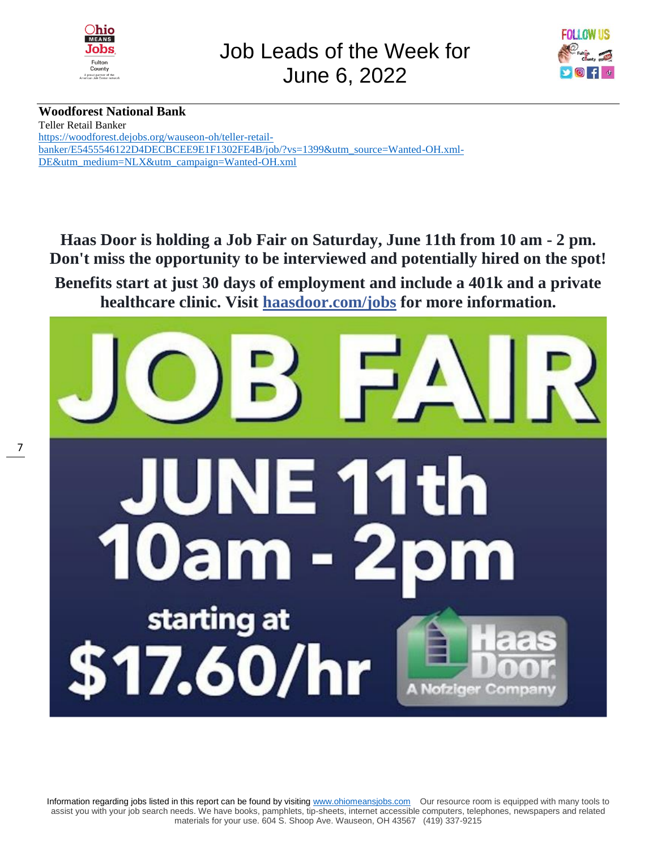



## **Woodforest National Bank**

Teller Retail Banker [https://woodforest.dejobs.org/wauseon-oh/teller-retail](https://woodforest.dejobs.org/wauseon-oh/teller-retail-banker/E5455546122D4DECBCEE9E1F1302FE4B/job/?vs=1399&utm_source=Wanted-OH.xml-DE&utm_medium=NLX&utm_campaign=Wanted-OH.xml)[banker/E5455546122D4DECBCEE9E1F1302FE4B/job/?vs=1399&utm\\_source=Wanted-OH.xml-](https://woodforest.dejobs.org/wauseon-oh/teller-retail-banker/E5455546122D4DECBCEE9E1F1302FE4B/job/?vs=1399&utm_source=Wanted-OH.xml-DE&utm_medium=NLX&utm_campaign=Wanted-OH.xml)[DE&utm\\_medium=NLX&utm\\_campaign=Wanted-OH.xml](https://woodforest.dejobs.org/wauseon-oh/teller-retail-banker/E5455546122D4DECBCEE9E1F1302FE4B/job/?vs=1399&utm_source=Wanted-OH.xml-DE&utm_medium=NLX&utm_campaign=Wanted-OH.xml)

**Haas Door is holding a Job Fair on Saturday, June 11th from 10 am - 2 pm. Don't miss the opportunity to be interviewed and potentially hired on the spot! Benefits start at just 30 days of employment and include a 401k and a private healthcare clinic. Visit [haasdoor.com/jobs](https://l.facebook.com/l.php?u=https%3A%2F%2Fhaasdoor.com%2Fjobs&h=AT1ESZNU3eAa6_bGDC_Cv4CiClAysJZYjpthOSshXRwziJ76vXYtKGhfQryF_A64yUvGAb42SA6jn4L9Qrx20bBFsY4Cr3xC5rUXbigaNG1mj2ehDYbKFpujZhpZ4u7Ka98Mg1ReRj5gMXfHLSq3Zb0HVWOJk5CP7Ct5xjBBcF0Mb-s1uA9o06rbBQwGxW2msoIifoG48iBKKBX84wg-KGu3CQTDAa1wWxOrBUAJj6Nvnj1pMvj2sZxAjMAD-8ivj86hygMn4-xvlnP0e90X9bHve5HyHb7zDSIyKnOvjCgQlhG1M8I04L5i6y_K8AfsITvrPLOe0HCvOSOg3y8S_4JmVxZg4lDTB555TOqPFZRQMXfP_lQ1Lh-S8Y_IMyAyMA43a16dvGzhipVs01k63XKtfS23ZWawhxN46-uMpDP6S2X_OhRU8M7rCsADVzc96gqHtK1cGEFeFqR9BhlxLD4wlzVsTDGLuTpy16A9OC7BdWpTGP2TkwkLJKX6DzWaXq9N_fBuNvG-b3NlACO4RxJ_DQOupeQTM_TrGSMgfANhoaTruEdRXUEKiBLszJBRiigXzlH1dSsFSXPEs7nNcuFYJ-jAXDn6v8bk) for more information.**



Information regarding jobs listed in this report can be found by visiting [www.ohiomeansjobs.com](http://www.ohiomeansjobs.com/) Our resource room is equipped with many tools to assist you with your job search needs. We have books, pamphlets, tip-sheets, internet accessible computers, telephones, newspapers and related materials for your use. 604 S. Shoop Ave. Wauseon, OH 43567 (419) 337-9215